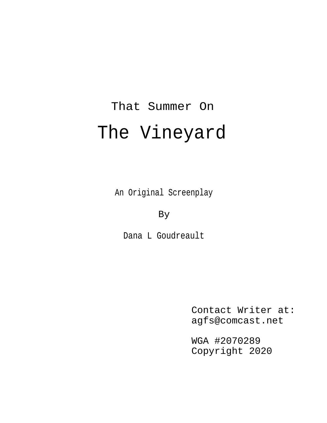# That Summer On The Vineyard

An Original Screenplay

By

Dana L Goudreault

Contact Writer at: agfs@comcast.net

WGA #2070289 Copyright 2020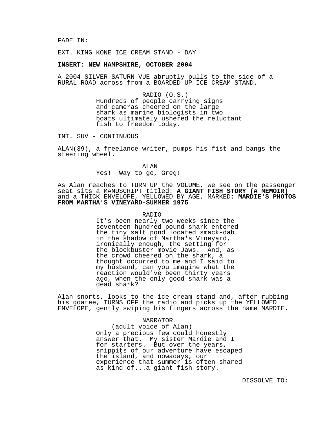FADE IN:

# EXT. KING KONE ICE CREAM STAND - DAY

## **INSERT: NEW HAMPSHIRE, OCTOBER 2004**

A 2004 SILVER SATURN VUE abruptly pulls to the side of a RURAL ROAD across from a BOARDED UP ICE CREAM STAND.

#### RADIO (O.S.)

Hundreds of people carrying signs and cameras cheered on the large shark as marine biologists in two boats ultimately ushered the reluctant fish to freedom today.

INT. SUV - CONTINUOUS

ALAN(39), a freelance writer, pumps his fist and bangs the steering wheel.

## ALAN

#### Yes! Way to go, Greg!

As Alan reaches to TURN UP the VOLUME, we see on the passenger seat sits a MANUSCRIPT titled: **A GIANT FISH STORY (A MEMOIR)** and a THICK ENVELOPE, YELLOWED BY AGE, MARKED: **MARDIE'S PHOTOS FROM MARTHA'S VINEYARD-SUMMER 1975** 

#### RADIO

It's been nearly two weeks since the seventeen-hundred pound shark entered the tiny salt pond located smack-dab in the shadow of Martha's Vineyard, ironically enough, the setting for the blockbuster movie Jaws. And, as the crowd cheered on the shark, a thought occurred to me and I said to my husband, can you imagine what the reaction would've been thirty years ago, when the only good shark was a dead shark?

Alan snorts, looks to the ice cream stand and, after rubbing his goatee, TURNS OFF the radio and picks up the YELLOWED ENVELOPE, gently swiping his fingers across the name MARDIE.

# NARRATOR

(adult voice of Alan) Only a precious few could honestly answer that. My sister Mardie and I for starters. But over the years, snippits of our adventure have escaped the island, and nowadays, our experience that summer is often shared as kind of...a giant fish story.

DISSOLVE TO: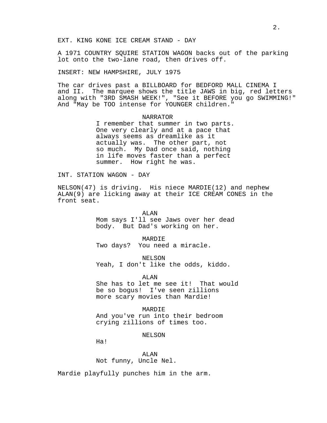A 1971 COUNTRY SQUIRE STATION WAGON backs out of the parking lot onto the two-lane road, then drives off.

INSERT: NEW HAMPSHIRE, JULY 1975

The car drives past a BILLBOARD for BEDFORD MALL CINEMA I and II. The marquee shows the title JAWS in big, red letters along with "3RD SMASH WEEK!", "See it BEFORE you go SWIMMING!" And "May be TOO intense for YOUNGER children."

## NARRATOR

I remember that summer in two parts. One very clearly and at a pace that always seems as dreamlike as it actually was. The other part, not so much. My Dad once said, nothing in life moves faster than a perfect summer. How right he was.

INT. STATION WAGON - DAY

NELSON(47) is driving. His niece MARDIE(12) and nephew ALAN(9) are licking away at their ICE CREAM CONES in the front seat.

> ALAN Mom says I'll see Jaws over her dead body. But Dad's working on her.

MARDIE Two days? You need a miracle.

NELSON Yeah, I don't like the odds, kiddo.

ALAN

She has to let me see it! That would be so bogus! I've seen zillions more scary movies than Mardie!

MARDIE

And you've run into their bedroom crying zillions of times too.

NELSON

Ha!

ALAN Not funny, Uncle Nel.

Mardie playfully punches him in the arm.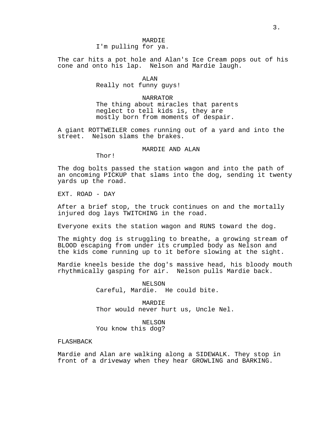# MARDIE I'm pulling for ya.

The car hits a pot hole and Alan's Ice Cream pops out of his cone and onto his lap. Nelson and Mardie laugh.

ALAN

Really not funny guys!

#### NARRATOR

The thing about miracles that parents neglect to tell kids is, they are mostly born from moments of despair.

A giant ROTTWEILER comes running out of a yard and into the street. Nelson slams the brakes.

# MARDIE AND ALAN

Thor!

The dog bolts passed the station wagon and into the path of an oncoming PICKUP that slams into the dog, sending it twenty yards up the road.

EXT. ROAD - DAY

After a brief stop, the truck continues on and the mortally injured dog lays TWITCHING in the road.

Everyone exits the station wagon and RUNS toward the dog.

The mighty dog is struggling to breathe, a growing stream of BLOOD escaping from under its crumpled body as Nelson and the kids come running up to it before slowing at the sight.

Mardie kneels beside the dog's massive head, his bloody mouth rhythmically gasping for air. Nelson pulls Mardie back.

> NELSON Careful, Mardie. He could bite.

MARDIE Thor would never hurt us, Uncle Nel.

NELSON You know this dog?

## FLASHBACK

Mardie and Alan are walking along a SIDEWALK. They stop in front of a driveway when they hear GROWLING and BARKING.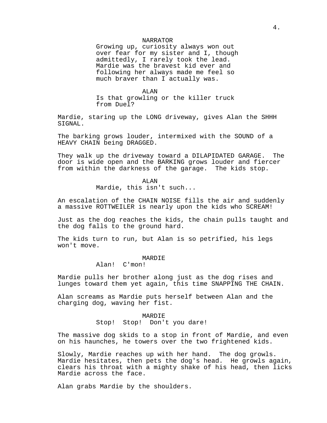#### NARRATOR

Growing up, curiosity always won out over fear for my sister and I, though admittedly, I rarely took the lead. Mardie was the bravest kid ever and following her always made me feel so much braver than I actually was.

ALAN Is that growling or the killer truck from Duel?

Mardie, staring up the LONG driveway, gives Alan the SHHH SIGNAL.

The barking grows louder, intermixed with the SOUND of a HEAVY CHAIN being DRAGGED.

They walk up the driveway toward a DILAPIDATED GARAGE. The door is wide open and the BARKING grows louder and fiercer from within the darkness of the garage. The kids stop.

#### ALAN

Mardie, this isn't such...

An escalation of the CHAIN NOISE fills the air and suddenly a massive ROTTWEILER is nearly upon the kids who SCREAM!

Just as the dog reaches the kids, the chain pulls taught and the dog falls to the ground hard.

The kids turn to run, but Alan is so petrified, his legs won't move.

## MARDIE

Alan! C'mon!

Mardie pulls her brother along just as the dog rises and lunges toward them yet again, this time SNAPPING THE CHAIN.

Alan screams as Mardie puts herself between Alan and the charging dog, waving her fist.

# MARDIE Stop! Stop! Don't you dare!

The massive dog skids to a stop in front of Mardie, and even on his haunches, he towers over the two frightened kids.

Slowly, Mardie reaches up with her hand. The dog growls. Mardie hesitates, then pets the dog's head. He growls again, clears his throat with a mighty shake of his head, then licks Mardie across the face.

Alan grabs Mardie by the shoulders.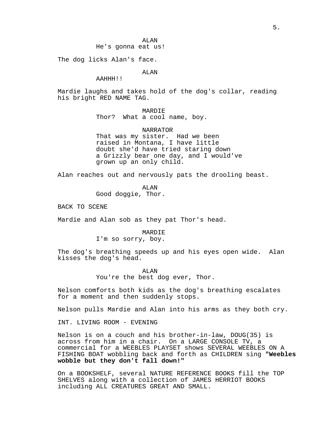## ALAN He's gonna eat us!

The dog licks Alan's face.

ALAN

AAHHH!!

Mardie laughs and takes hold of the dog's collar, reading his bright RED NAME TAG.

MARDIE

Thor? What a cool name, boy.

NARRATOR That was my sister. Had we been raised in Montana, I have little doubt she'd have tried staring down a Grizzly bear one day, and I would've grown up an only child.

Alan reaches out and nervously pats the drooling beast.

ALAN Good doggie, Thor.

BACK TO SCENE

Mardie and Alan sob as they pat Thor's head.

MARDIE I'm so sorry, boy.

The dog's breathing speeds up and his eyes open wide. Alan kisses the dog's head.

> ALAN You're the best dog ever, Thor.

Nelson comforts both kids as the dog's breathing escalates for a moment and then suddenly stops.

Nelson pulls Mardie and Alan into his arms as they both cry.

INT. LIVING ROOM - EVENING

Nelson is on a couch and his brother-in-law, DOUG(35) is across from him in a chair. On a LARGE CONSOLE TV, a commercial for a WEEBLES PLAYSET shows SEVERAL WEEBLES ON A FISHING BOAT wobbling back and forth as CHILDREN sing **"Weebles wobble but they don't fall down!"**

On a BOOKSHELF, several NATURE REFERENCE BOOKS fill the TOP SHELVES along with a collection of JAMES HERRIOT BOOKS including ALL CREATURES GREAT AND SMALL.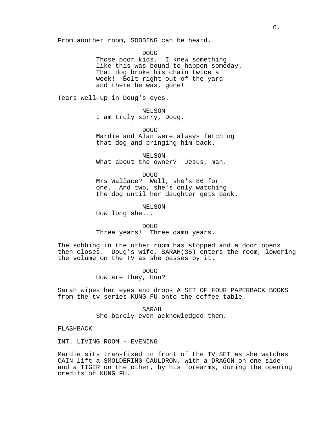From another room, SOBBING can be heard.

DOUG

Those poor kids. I knew something like this was bound to happen someday. That dog broke his chain twice a week! Bolt right out of the yard and there he was, gone!

Tears well-up in Doug's eyes.

NELSON

I am truly sorry, Doug.

DOUG

Mardie and Alan were always fetching that dog and bringing him back.

NELSON What about the owner? Jesus, man.

DOUG

Mrs Wallace? Well, she's 86 for one. And two, she's only watching the dog until her daughter gets back.

NELSON

How long she...

DOUG Three years! Three damn years.

The sobbing in the other room has stopped and a door opens then closes. Doug's wife, SARAH(35) enters the room, lowering the volume on the TV as she passes by it.

DOUG

How are they, Hun?

Sarah wipes her eyes and drops A SET OF FOUR PAPERBACK BOOKS from the tv series KUNG FU onto the coffee table.

> SARAH She barely even acknowledged them.

FLASHBACK

INT. LIVING ROOM - EVENING

Mardie sits transfixed in front of the TV SET as she watches CAIN lift a SMOLDERING CAULDRON, with a DRAGON on one side and a TIGER on the other, by his forearms, during the opening credits of KUNG FU.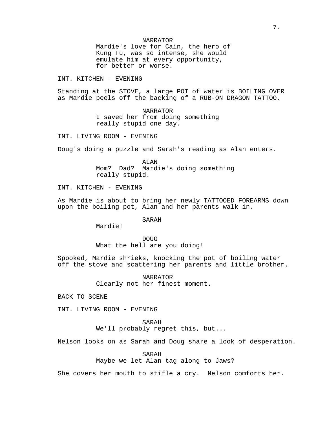#### NARRATOR

Mardie's love for Cain, the hero of Kung Fu, was so intense, she would emulate him at every opportunity, for better or worse.

INT. KITCHEN - EVENING

Standing at the STOVE, a large POT of water is BOILING OVER as Mardie peels off the backing of a RUB-ON DRAGON TATTOO.

> NARRATOR I saved her from doing something really stupid one day.

INT. LIVING ROOM - EVENING

Doug's doing a puzzle and Sarah's reading as Alan enters.

ALAN Mom? Dad? Mardie's doing something really stupid.

INT. KITCHEN - EVENING

As Mardie is about to bring her newly TATTOOED FOREARMS down upon the boiling pot, Alan and her parents walk in.

SARAH

Mardie!

DOUG What the hell are you doing!

Spooked, Mardie shrieks, knocking the pot of boiling water off the stove and scattering her parents and little brother.

> NARRATOR Clearly not her finest moment.

BACK TO SCENE

INT. LIVING ROOM - EVENING

SARAH

We'll probably regret this, but...

Nelson looks on as Sarah and Doug share a look of desperation.

SARAH

Maybe we let Alan tag along to Jaws?

She covers her mouth to stifle a cry. Nelson comforts her.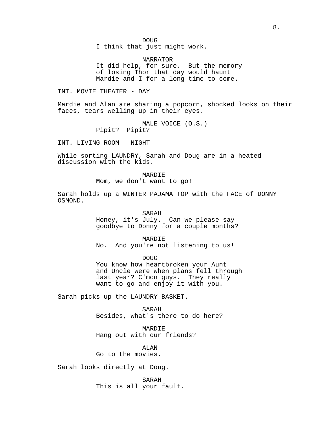DOUG

I think that just might work.

NARRATOR It did help, for sure. But the memory of losing Thor that day would haunt Mardie and I for a long time to come.

INT. MOVIE THEATER - DAY

Mardie and Alan are sharing a popcorn, shocked looks on their faces, tears welling up in their eyes.

> MALE VOICE (O.S.) Pipit? Pipit?

INT. LIVING ROOM - NIGHT

While sorting LAUNDRY, Sarah and Doug are in a heated discussion with the kids.

> MARDIE Mom, we don't want to go!

Sarah holds up a WINTER PAJAMA TOP with the FACE of DONNY OSMOND.

SARAH

Honey, it's July. Can we please say goodbye to Donny for a couple months?

MARDIE No. And you're not listening to us!

DOUG You know how heartbroken your Aunt and Uncle were when plans fell through last year? C'mon guys. They really want to go and enjoy it with you.

Sarah picks up the LAUNDRY BASKET.

SARAH Besides, what's there to do here?

MARDIE Hang out with our friends?

ALAN Go to the movies.

Sarah looks directly at Doug.

SARAH This is all your fault.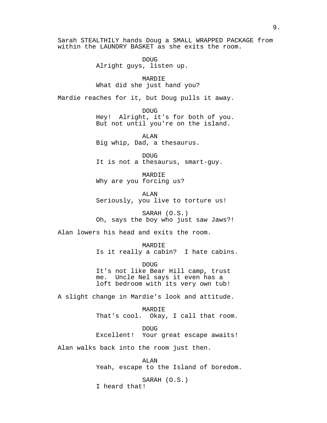Sarah STEALTHILY hands Doug a SMALL WRAPPED PACKAGE from within the LAUNDRY BASKET as she exits the room.

> DOUG Alright guys, listen up.

MARDIE What did she just hand you?

Mardie reaches for it, but Doug pulls it away.

DOUG Hey! Alright, it's for both of you. But not until you're on the island.

ALAN Big whip, Dad, a thesaurus.

DOUG It is not a thesaurus, smart-guy.

MARDIE Why are you forcing us?

ALAN Seriously, you live to torture us!

SARAH (O.S.) Oh, says the boy who just saw Jaws?!

Alan lowers his head and exits the room.

MARDIE Is it really a cabin? I hate cabins.

DOUG It's not like Bear Hill camp, trust me. Uncle Nel says it even has a loft bedroom with its very own tub!

A slight change in Mardie's look and attitude.

MARDIE That's cool. Okay, I call that room.

DOUG Excellent! Your great escape awaits!

Alan walks back into the room just then.

ALAN Yeah, escape to the Island of boredom.

SARAH (O.S.) I heard that!